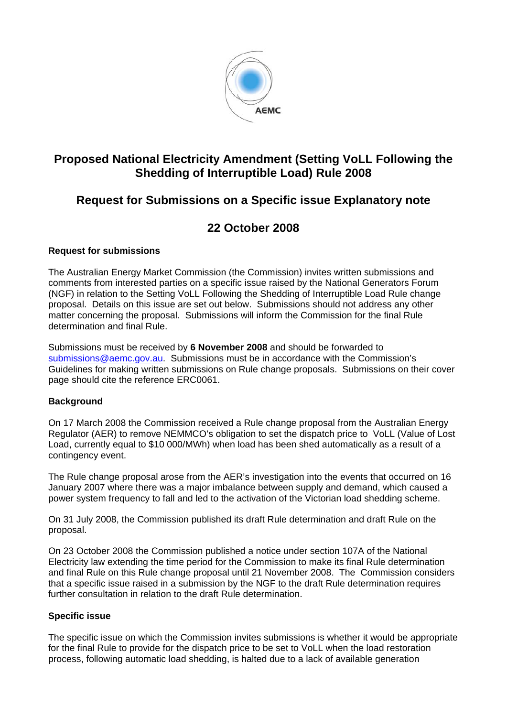

# **Proposed National Electricity Amendment (Setting VoLL Following the Shedding of Interruptible Load) Rule 2008**

# **Request for Submissions on a Specific issue Explanatory note**

# **22 October 2008**

### **Request for submissions**

The Australian Energy Market Commission (the Commission) invites written submissions and comments from interested parties on a specific issue raised by the National Generators Forum (NGF) in relation to the Setting VoLL Following the Shedding of Interruptible Load Rule change proposal. Details on this issue are set out below. Submissions should not address any other matter concerning the proposal. Submissions will inform the Commission for the final Rule determination and final Rule.

Submissions must be received by **6 November 2008** and should be forwarded to submissions@aemc.gov.au. Submissions must be in accordance with the Commission's Guidelines for making written submissions on Rule change proposals. Submissions on their cover page should cite the reference ERC0061.

## **Background**

On 17 March 2008 the Commission received a Rule change proposal from the Australian Energy Regulator (AER) to remove NEMMCO's obligation to set the dispatch price to VoLL (Value of Lost Load, currently equal to \$10 000/MWh) when load has been shed automatically as a result of a contingency event.

The Rule change proposal arose from the AER's investigation into the events that occurred on 16 January 2007 where there was a major imbalance between supply and demand, which caused a power system frequency to fall and led to the activation of the Victorian load shedding scheme.

On 31 July 2008, the Commission published its draft Rule determination and draft Rule on the proposal.

On 23 October 2008 the Commission published a notice under section 107A of the National Electricity law extending the time period for the Commission to make its final Rule determination and final Rule on this Rule change proposal until 21 November 2008. The Commission considers that a specific issue raised in a submission by the NGF to the draft Rule determination requires further consultation in relation to the draft Rule determination.

#### **Specific issue**

The specific issue on which the Commission invites submissions is whether it would be appropriate for the final Rule to provide for the dispatch price to be set to VoLL when the load restoration process, following automatic load shedding, is halted due to a lack of available generation